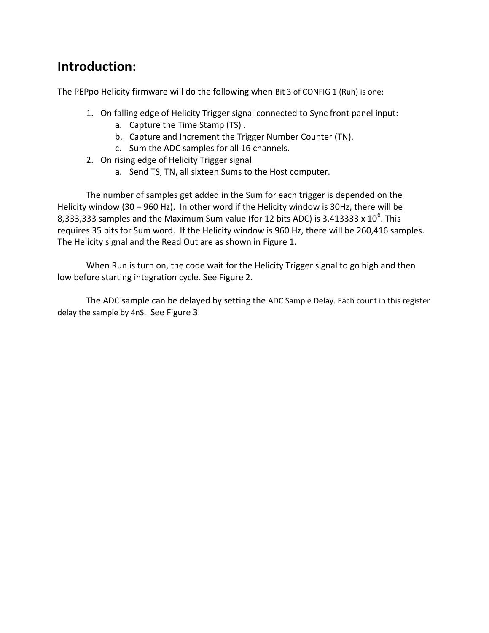# **Introduction:**

The PEPpo Helicity firmware will do the following when Bit 3 of CONFIG 1 (Run) is one:

- 1. On falling edge of Helicity Trigger signal connected to Sync front panel input:
	- a. Capture the Time Stamp (TS) .
	- b. Capture and Increment the Trigger Number Counter (TN).
	- c. Sum the ADC samples for all 16 channels.
- 2. On rising edge of Helicity Trigger signal
	- a. Send TS, TN, all sixteen Sums to the Host computer.

The number of samples get added in the Sum for each trigger is depended on the Helicity window (30 – 960 Hz). In other word if the Helicity window is 30Hz, there will be 8,333,333 samples and the Maximum Sum value (for 12 bits ADC) is 3.413333 x 10<sup>6</sup>. This requires 35 bits for Sum word. If the Helicity window is 960 Hz, there will be 260,416 samples. The Helicity signal and the Read Out are as shown in Figure 1.

When Run is turn on, the code wait for the Helicity Trigger signal to go high and then low before starting integration cycle. See Figure 2.

The ADC sample can be delayed by setting the ADC Sample Delay. Each count in this register delay the sample by 4nS. See Figure 3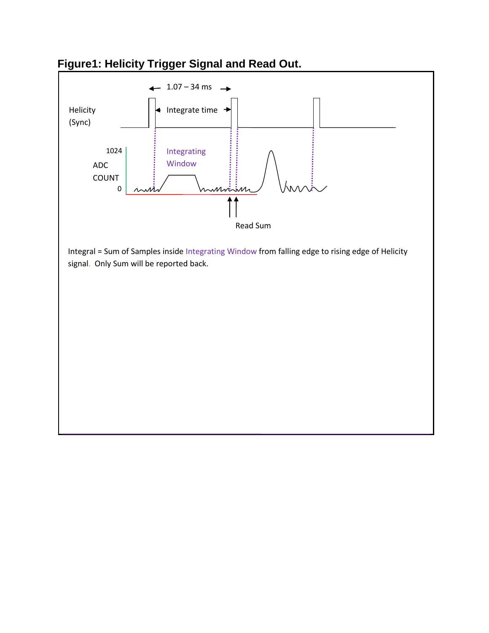

## **Figure1: Helicity Trigger Signal and Read Out.**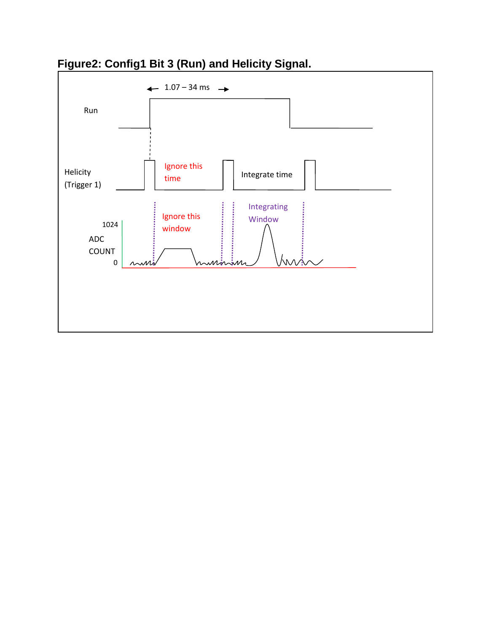

## **Figure2: Config1 Bit 3 (Run) and Helicity Signal.**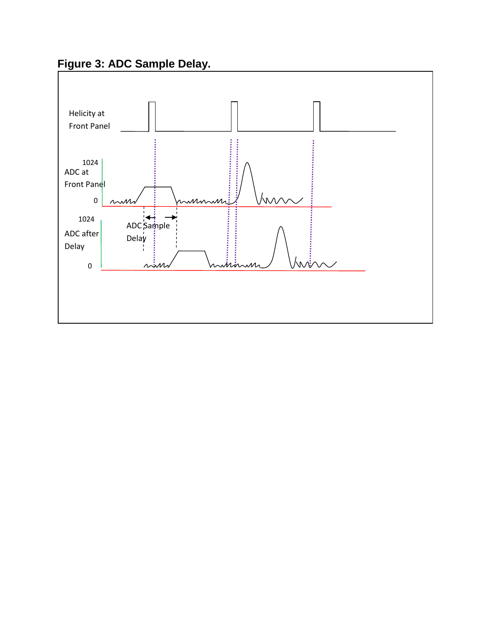**Figure 3: ADC Sample Delay.**

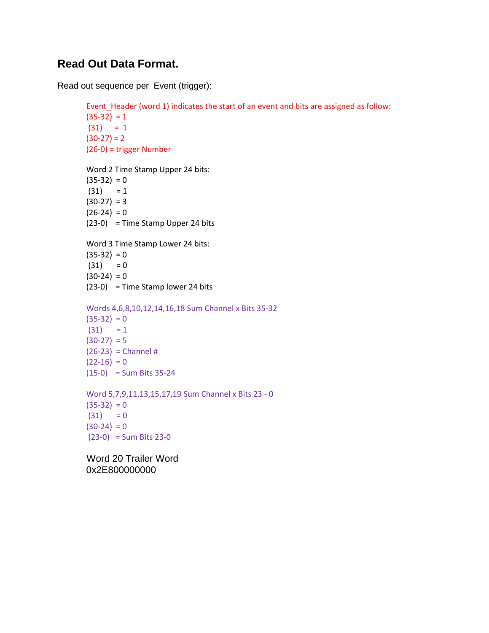#### **Read Out Data Format.**

Read out sequence per Event (trigger):

```
Event_Header (word 1) indicates the start of an event and bits are assigned as follow:
(35-32) = 1(31) = 1(30-27) = 2(26-0) = trigger Number
Word 2 Time Stamp Upper 24 bits:
(35-32) = 0(31) = 1(30-27) = 3(26-24) = 0(23-0) = Time Stamp Upper 24 bits
Word 3 Time Stamp Lower 24 bits:
(35-32) = 0(31) = 0(30-24) = 0(23-0) = Time Stamp lower 24 bits
Words 4,6,8,10,12,14,16,18 Sum Channel x Bits 35-32
(35-32) = 0(31) = 1(30-27) = 5(26-23) = Channel #
(22-16) = 0(15-0) = Sum Bits 35-24
Word 5,7,9,11,13,15,17,19 Sum Channel x Bits 23 - 0 
(35-32) = 0(31) = 0(30-24) = 0(23-0) = Sum Bits 23-0 Word 20 Trailer Word
```
0x2E800000000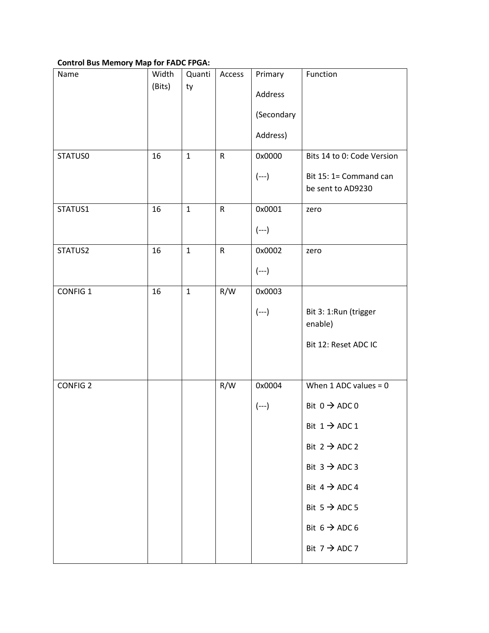#### **Control Bus Memory Map for FADC FPGA:**

| Name            | Width  | Quanti       | Access       | Primary    | Function                                    |
|-----------------|--------|--------------|--------------|------------|---------------------------------------------|
|                 | (Bits) | ty           |              | Address    |                                             |
|                 |        |              |              | (Secondary |                                             |
|                 |        |              |              | Address)   |                                             |
| STATUS0         | 16     | $\mathbf{1}$ | $\mathsf{R}$ | 0x0000     | Bits 14 to 0: Code Version                  |
|                 |        |              |              | $(--)$     | Bit 15: 1= Command can<br>be sent to AD9230 |
| STATUS1         | 16     | $\mathbf{1}$ | $\mathsf{R}$ | 0x0001     | zero                                        |
|                 |        |              |              | $(--)$     |                                             |
| STATUS2         | 16     | $\mathbf{1}$ | $\mathsf{R}$ | 0x0002     | zero                                        |
|                 |        |              |              | $(--)$     |                                             |
| CONFIG 1        | 16     | $\mathbf{1}$ | R/W          | 0x0003     |                                             |
|                 |        |              |              | $(--)$     | Bit 3: 1:Run (trigger<br>enable)            |
|                 |        |              |              |            | Bit 12: Reset ADC IC                        |
| <b>CONFIG 2</b> |        |              | R/W          | 0x0004     | When $1$ ADC values = $0$                   |
|                 |        |              |              | $(- - )$   | Bit $0 \rightarrow ADC 0$                   |
|                 |        |              |              |            | Bit $1 \rightarrow$ ADC 1                   |
|                 |        |              |              |            | Bit $2 \rightarrow ADC 2$                   |
|                 |        |              |              |            | Bit $3 \rightarrow$ ADC 3                   |
|                 |        |              |              |            | Bit $4 \rightarrow$ ADC 4                   |
|                 |        |              |              |            | Bit $5 \rightarrow ADC 5$                   |
|                 |        |              |              |            | Bit $6 \rightarrow ADC6$                    |
|                 |        |              |              |            | Bit $7 \rightarrow$ ADC 7                   |